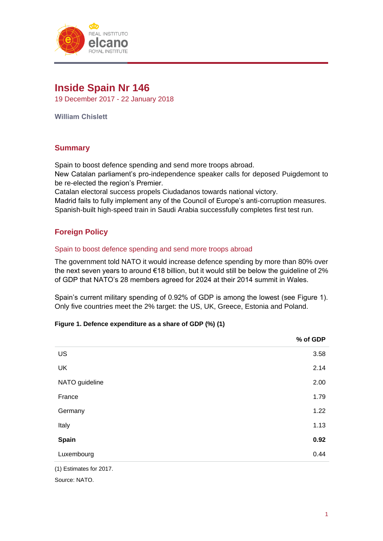

# **Inside Spain Nr 146**

19 December 2017 - 22 January 2018

**William Chislett**

# **Summary**

Spain to boost defence spending and send more troops abroad.

New Catalan parliament's pro-independence speaker calls for deposed Puigdemont to be re-elected the region's Premier.

Catalan electoral success propels Ciudadanos towards national victory.

Madrid fails to fully implement any of the Council of Europe's anti-corruption measures. Spanish-built high-speed train in Saudi Arabia successfully completes first test run.

# **Foreign Policy**

#### Spain to boost defence spending and send more troops abroad

The government told NATO it would increase defence spending by more than 80% over the next seven years to around  $\epsilon$ 18 billion, but it would still be below the guideline of 2% of GDP that NATO's 28 members agreed for 2024 at their 2014 summit in Wales.

Spain's current military spending of 0.92% of GDP is among the lowest (see Figure 1). Only five countries meet the 2% target: the US, UK, Greece, Estonia and Poland.

#### **Figure 1. Defence expenditure as a share of GDP (%) (1)**

|                | % of GDP |
|----------------|----------|
| US             | 3.58     |
| UK             | 2.14     |
| NATO guideline | 2.00     |
| France         | 1.79     |
| Germany        | 1.22     |
| Italy          | 1.13     |
| Spain          | 0.92     |
| Luxembourg     | 0.44     |
|                |          |

(1) Estimates for 2017.

Source: NATO.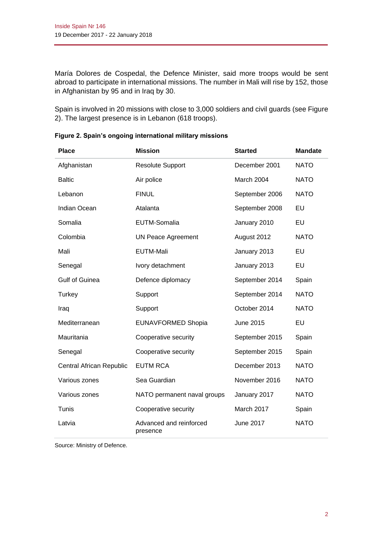María Dolores de Cospedal, the Defence Minister, said more troops would be sent abroad to participate in international missions. The number in Mali will rise by 152, those in Afghanistan by 95 and in Iraq by 30.

Spain is involved in 20 missions with close to 3,000 soldiers and civil guards (see Figure 2). The largest presence is in Lebanon (618 troops).

| <b>Place</b>             | <b>Mission</b>                      | <b>Started</b>   | <b>Mandate</b> |
|--------------------------|-------------------------------------|------------------|----------------|
| Afghanistan              | <b>Resolute Support</b>             | December 2001    | <b>NATO</b>    |
| <b>Baltic</b>            | Air police                          | March 2004       | <b>NATO</b>    |
| Lebanon                  | <b>FINUL</b>                        | September 2006   | <b>NATO</b>    |
| <b>Indian Ocean</b>      | Atalanta                            | September 2008   | EU             |
| Somalia                  | EUTM-Somalia                        | January 2010     | EU             |
| Colombia                 | <b>UN Peace Agreement</b>           | August 2012      | <b>NATO</b>    |
| Mali                     | <b>EUTM-Mali</b>                    | January 2013     | <b>EU</b>      |
| Senegal                  | Ivory detachment                    | January 2013     | <b>EU</b>      |
| <b>Gulf of Guinea</b>    | Defence diplomacy                   | September 2014   | Spain          |
| Turkey                   | Support                             | September 2014   | <b>NATO</b>    |
| Iraq                     | Support                             | October 2014     | <b>NATO</b>    |
| Mediterranean            | <b>EUNAVFORMED Shopia</b>           | <b>June 2015</b> | EU             |
| Mauritania               | Cooperative security                | September 2015   | Spain          |
| Senegal                  | Cooperative security                | September 2015   | Spain          |
| Central African Republic | <b>EUTM RCA</b>                     | December 2013    | <b>NATO</b>    |
| Various zones            | Sea Guardian                        | November 2016    | <b>NATO</b>    |
| Various zones            | NATO permanent naval groups         | January 2017     | <b>NATO</b>    |
| Tunis                    | Cooperative security                | March 2017       | Spain          |
| Latvia                   | Advanced and reinforced<br>presence | <b>June 2017</b> | <b>NATO</b>    |

**Figure 2. Spain's ongoing international military missions**

Source: Ministry of Defence.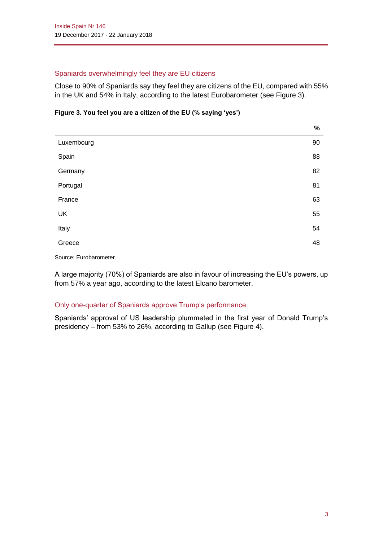### Spaniards overwhelmingly feel they are EU citizens

Close to 90% of Spaniards say they feel they are citizens of the EU, compared with 55% in the UK and 54% in Italy, according to the latest Eurobarometer (see Figure 3).

#### **Figure 3. You feel you are a citizen of the EU (% saying 'yes')**

|            | $\%$ |
|------------|------|
| Luxembourg | 90   |
| Spain      | 88   |
| Germany    | 82   |
| Portugal   | 81   |
| France     | 63   |
| UK         | 55   |
| Italy      | 54   |
| Greece     | 48   |

Source: Eurobarometer.

A large majority (70%) of Spaniards are also in favour of increasing the EU's powers, up from 57% a year ago, according to the latest Elcano barometer.

#### Only one-quarter of Spaniards approve Trump's performance

Spaniards' approval of US leadership plummeted in the first year of Donald Trump's presidency – from 53% to 26%, according to Gallup (see Figure 4).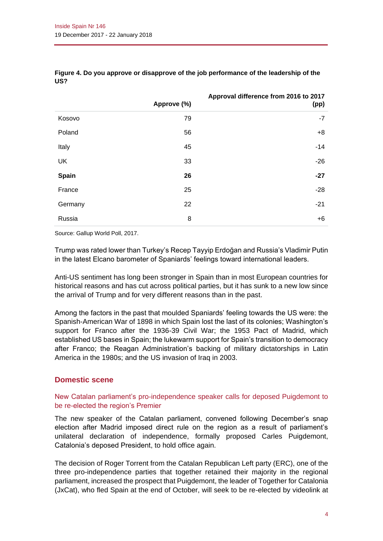|           | Approve (%) | Approval difference from 2016 to 2017<br>(pp) |
|-----------|-------------|-----------------------------------------------|
| Kosovo    | 79          | $-7$                                          |
| Poland    | 56          | $+8$                                          |
| Italy     | 45          | $-14$                                         |
| <b>UK</b> | 33          | $-26$                                         |
| Spain     | 26          | $-27$                                         |
| France    | 25          | $-28$                                         |
| Germany   | 22          | $-21$                                         |
| Russia    | 8           | $+6$                                          |

**Figure 4. Do you approve or disapprove of the job performance of the leadership of the US?**

Source: Gallup World Poll, 2017.

Trump was rated lower than Turkey's Recep Tayyip Erdoğan and Russia's Vladimir Putin in the latest Elcano barometer of Spaniards' feelings toward international leaders.

Anti-US sentiment has long been stronger in Spain than in most European countries for historical reasons and has cut across political parties, but it has sunk to a new low since the arrival of Trump and for very different reasons than in the past.

Among the factors in the past that moulded Spaniards' feeling towards the US were: the Spanish-American War of 1898 in which Spain lost the last of its colonies; Washington's support for Franco after the 1936-39 Civil War; the 1953 Pact of Madrid, which established US bases in Spain; the lukewarm support for Spain's transition to democracy after Franco; the Reagan Administration's backing of military dictatorships in Latin America in the 1980s; and the US invasion of Iraq in 2003.

## **Domestic scene**

#### New Catalan parliament's pro-independence speaker calls for deposed Puigdemont to be re-elected the region's Premier

The new speaker of the Catalan parliament, convened following December's snap election after Madrid imposed direct rule on the region as a result of parliament's unilateral declaration of independence, formally proposed Carles Puigdemont, Catalonia's deposed President, to hold office again.

The decision of Roger Torrent from the Catalan Republican Left party (ERC), one of the three pro-independence parties that together retained their majority in the regional parliament, increased the prospect that Puigdemont, the leader of Together for Catalonia (JxCat), who fled Spain at the end of October, will seek to be re-elected by videolink at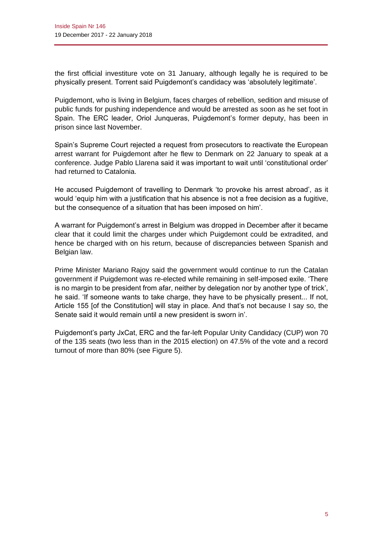the first official investiture vote on 31 January, although legally he is required to be physically present. Torrent said Puigdemont's candidacy was 'absolutely legitimate'.

Puigdemont, who is living in Belgium, faces charges of rebellion, sedition and misuse of public funds for pushing independence and would be arrested as soon as he set foot in Spain. The ERC leader, Oriol Junqueras, Puigdemont's former deputy, has been in prison since last November.

Spain's Supreme Court rejected a request from prosecutors to reactivate the European arrest warrant for Puigdemont after he flew to Denmark on 22 January to speak at a conference. Judge Pablo Llarena said it was important to wait until 'constitutional order' had returned to Catalonia.

He accused Puigdemont of travelling to Denmark 'to provoke his arrest abroad', as it would 'equip him with a justification that his absence is not a free decision as a fugitive, but the consequence of a situation that has been imposed on him'.

A warrant for Puigdemont's arrest in Belgium was dropped in December after it became clear that it could limit the charges under which Puigdemont could be extradited, and hence be charged with on his return, because of discrepancies between Spanish and Belgian law.

Prime Minister Mariano Rajoy said the government would continue to run the Catalan government if Puigdemont was re-elected while remaining in self-imposed exile. 'There is no margin to be president from afar, neither by delegation nor by another type of trick', he said. 'If someone wants to take charge, they have to be physically present... If not, Article 155 [of the Constitution] will stay in place. And that's not because I say so, the Senate said it would remain until a new president is sworn in'.

Puigdemont's party JxCat, ERC and the far-left Popular Unity Candidacy (CUP) won 70 of the 135 seats (two less than in the 2015 election) on 47.5% of the vote and a record turnout of more than 80% (see Figure 5).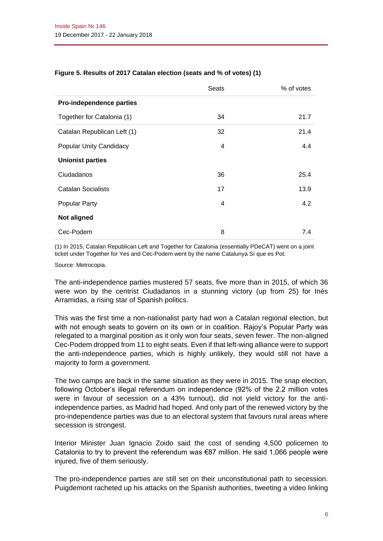|                                | Seats | % of votes |
|--------------------------------|-------|------------|
| Pro-independence parties       |       |            |
| Together for Catalonia (1)     | 34    | 21.7       |
| Catalan Republican Left (1)    | 32    | 21.4       |
| <b>Popular Unity Candidacy</b> | 4     | 4.4        |
| <b>Unionist parties</b>        |       |            |
| Ciudadanos                     | 36    | 25.4       |
| <b>Catalan Socialists</b>      | 17    | 13.9       |
| <b>Popular Party</b>           | 4     | 4.2        |
| <b>Not aligned</b>             |       |            |
| Cec-Podem                      | 8     | 7.4        |

#### **Figure 5. Results of 2017 Catalan election (seats and % of votes) (1)**

(1) In 2015, Catalan Republican Left and Together for Catalonia (essentially PDeCAT) went on a joint ticket under Together for Yes and Cec-Podem went by the name Catalunya Sí que es Pot.

Source: Metrocopia.

The anti-independence parties mustered 57 seats, five more than in 2015, of which 36 were won by the centrist Ciudadanos in a stunning victory (up from 25) for Inés Arramidas, a rising star of Spanish politics.

This was the first time a non-nationalist party had won a Catalan regional election, but with not enough seats to govern on its own or in coalition. Rajoy's Popular Party was relegated to a marginal position as it only won four seats, seven fewer. The non-aligned Cec-Podem dropped from 11 to eight seats. Even if that left-wing alliance were to support the anti-independence parties, which is highly unlikely, they would still not have a majority to form a government.

The two camps are back in the same situation as they were in 2015. The snap election, following October's illegal referendum on independence (92% of the 2.2 million votes were in favour of secession on a 43% turnout), did not yield victory for the antiindependence parties, as Madrid had hoped. And only part of the renewed victory by the pro-independence parties was due to an electoral system that favours rural areas where secession is strongest.

Interior Minister Juan Ignacio Zoido said the cost of sending 4,500 policemen to Catalonia to try to prevent the referendum was  $\epsilon$ 87 million. He said 1,066 people were injured, five of them seriously.

The pro-independence parties are still set on their unconstitutional path to secession. Puigdemont racheted up his attacks on the Spanish authorities, tweeting a video linking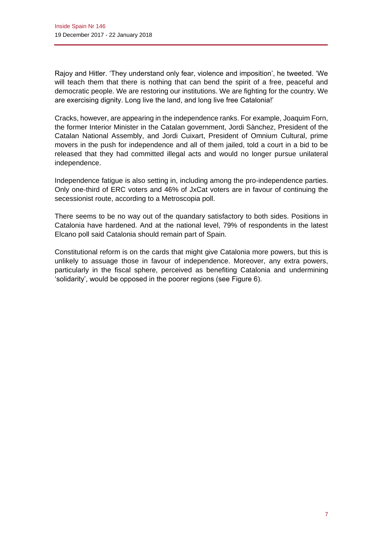Rajoy and Hitler. 'They understand only fear, violence and imposition', he tweeted. 'We will teach them that there is nothing that can bend the spirit of a free, peaceful and democratic people. We are restoring our institutions. We are fighting for the country. We are exercising dignity. Long live the land, and long live free Catalonia!'

Cracks, however, are appearing in the independence ranks. For example, Joaquim Forn, the former Interior Minister in the Catalan government, Jordi Sànchez, President of the Catalan National Assembly, and Jordi Cuixart, President of Omnium Cultural, prime movers in the push for independence and all of them jailed, told a court in a bid to be released that they had committed illegal acts and would no longer pursue unilateral independence.

Independence fatigue is also setting in, including among the pro-independence parties. Only one-third of ERC voters and 46% of JxCat voters are in favour of continuing the secessionist route, according to a Metroscopia poll.

There seems to be no way out of the quandary satisfactory to both sides. Positions in Catalonia have hardened. And at the national level, 79% of respondents in the latest Elcano poll said Catalonia should remain part of Spain.

Constitutional reform is on the cards that might give Catalonia more powers, but this is unlikely to assuage those in favour of independence. Moreover, any extra powers, particularly in the fiscal sphere, perceived as benefiting Catalonia and undermining 'solidarity', would be opposed in the poorer regions (see Figure 6).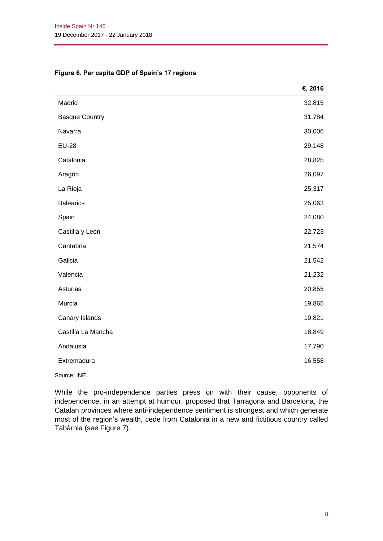#### **Figure 6. Per capita GDP of Spain's 17 regions**

|                       | €, 2016 |
|-----------------------|---------|
| Madrid                | 32,815  |
| <b>Basque Country</b> | 31,784  |
| Navarra               | 30,006  |
| <b>EU-28</b>          | 29,148  |
| Catalonia             | 28,825  |
| Aragón                | 26,097  |
| La Rioja              | 25,317  |
| <b>Balearics</b>      | 25,063  |
| Spain                 | 24,080  |
| Castilla y León       | 22,723  |
| Cantabria             | 21,574  |
| Galicia               | 21,542  |
| Valencia              | 21,232  |
| Asturias              | 20,855  |
| Murcia                | 19,865  |
| Canary Islands        | 19,821  |
| Castilla La Mancha    | 18,849  |
| Andalusia             | 17,790  |
| Extremadura           | 16,558  |

Source: INE.

While the pro-independence parties press on with their cause, opponents of independence, in an attempt at humour, proposed that Tarragona and Barcelona, the Catalan provinces where anti-independence sentiment is strongest and which generate most of the region's wealth, cede from Catalonia in a new and fictitious country called Tabàrnia (see Figure 7).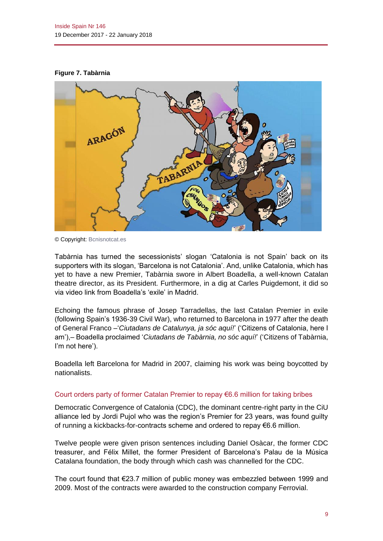#### **Figure 7. Tabàrnia**



© Copyright[: Bcnisnotcat.es](http://www.euronews.com/2017/12/27/tabarnia-the-new-catalan-secessionist-movement-boosted-by-twitter)

Tabàrnia has turned the secessionists' slogan 'Catalonia is not Spain' back on its supporters with its slogan, 'Barcelona is not Catalonia'. And, unlike Catalonia, which has yet to have a new Premier, Tabàrnia swore in Albert Boadella, a well-known Catalan theatre director, as its President. Furthermore, in a dig at Carles Puigdemont, it did so via video link from Boadella's 'exile' in Madrid.

Echoing the famous phrase of Josep Tarradellas, the last Catalan Premier in exile (following Spain's 1936-39 Civil War), who returned to Barcelona in 1977 after the death of General Franco –'*Ciutadans de Catalunya, ja sóc aquí!*' ('Citizens of Catalonia, here I am'),– Boadella proclaimed '*Ciutadans de Tabàrnia, no sóc aquí!*' ('Citizens of Tabàrnia, I'm not here').

Boadella left Barcelona for Madrid in 2007, claiming his work was being boycotted by nationalists.

#### Court orders party of former Catalan Premier to repay €6.6 million for taking bribes

Democratic Convergence of Catalonia (CDC), the dominant centre-right party in the CiU alliance led by Jordi Pujol who was the region's Premier for 23 years, was found guilty of running a kickbacks-for-contracts scheme and ordered to repay €6.6 million.

Twelve people were given prison sentences including Daniel Osàcar, the former CDC treasurer, and Félix Millet, the former President of Barcelona's Palau de la Música Catalana foundation, the body through which cash was channelled for the CDC.

The court found that €23.7 million of public money was embezzled between 1999 and 2009. Most of the contracts were awarded to the construction company Ferrovial.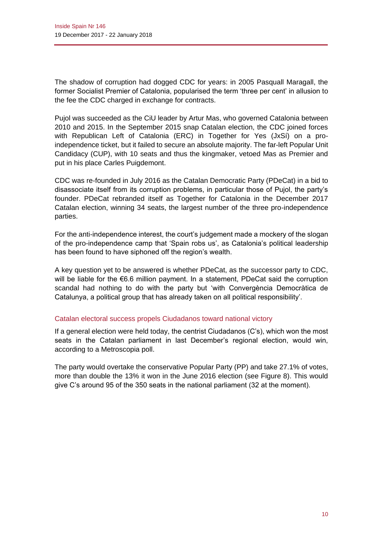The shadow of corruption had dogged CDC for years: in 2005 Pasquall Maragall, the former Socialist Premier of Catalonia, popularised the term 'three per cent' in allusion to the fee the CDC charged in exchange for contracts.

Pujol was succeeded as the CiU leader by Artur Mas, who governed Catalonia between 2010 and 2015. In the September 2015 snap Catalan election, the CDC joined forces with Republican Left of Catalonia (ERC) in Together for Yes (JxSí) on a proindependence ticket, but it failed to secure an absolute majority. The far-left Popular Unit Candidacy (CUP), with 10 seats and thus the kingmaker, vetoed Mas as Premier and put in his place Carles Puigdemont.

CDC was re-founded in July 2016 as the Catalan Democratic Party (PDeCat) in a bid to disassociate itself from its corruption problems, in particular those of Pujol, the party's founder. PDeCat rebranded itself as Together for Catalonia in the December 2017 Catalan election, winning 34 seats, the largest number of the three pro-independence parties.

For the anti-independence interest, the court's judgement made a mockery of the slogan of the pro-independence camp that 'Spain robs us', as Catalonia's political leadership has been found to have siphoned off the region's wealth.

A key question yet to be answered is whether PDeCat, as the successor party to CDC, will be liable for the €6.6 million payment. In a statement, PDeCat said the corruption scandal had nothing to do with the party but 'with Convergència Democràtica de Catalunya, a political group that has already taken on all political responsibility'.

#### Catalan electoral success propels Ciudadanos toward national victory

If a general election were held today, the centrist Ciudadanos (C's), which won the most seats in the Catalan parliament in last December's regional election, would win, according to a Metroscopia poll.

The party would overtake the conservative Popular Party (PP) and take 27.1% of votes, more than double the 13% it won in the June 2016 election (see Figure 8). This would give C's around 95 of the 350 seats in the national parliament (32 at the moment).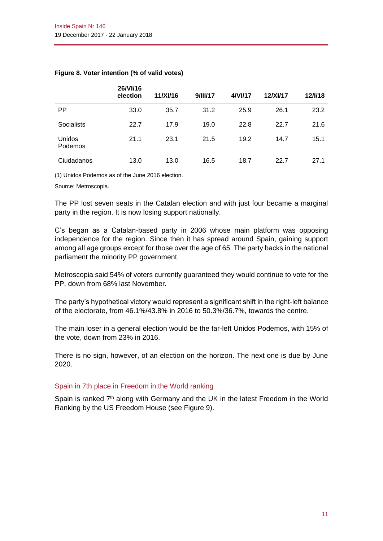|                          | <b>26/VI/16</b><br>election | 11/XI/16 | 9/11/17 | 4/VI/17 | <b>12/XV17</b> | 12/1/18 |
|--------------------------|-----------------------------|----------|---------|---------|----------------|---------|
| PP.                      | 33.0                        | 35.7     | 31.2    | 25.9    | 26.1           | 23.2    |
| Socialists               | 22.7                        | 17.9     | 19.0    | 22.8    | 22.7           | 21.6    |
| Unidos<br><b>Podemos</b> | 21.1                        | 23.1     | 21.5    | 19.2    | 14.7           | 15.1    |
| Ciudadanos               | 13.0                        | 13.0     | 16.5    | 18.7    | 22.7           | 27.1    |

#### **Figure 8. Voter intention (% of valid votes)**

**26/VI/16** 

(1) Unidos Podemos as of the June 2016 election.

Source: Metroscopia.

The PP lost seven seats in the Catalan election and with just four became a marginal party in the region. It is now losing support nationally.

C's began as a Catalan-based party in 2006 whose main platform was opposing independence for the region. Since then it has spread around Spain, gaining support among all age groups except for those over the age of 65. The party backs in the national parliament the minority PP government.

Metroscopia said 54% of voters currently guaranteed they would continue to vote for the PP, down from 68% last November.

The party's hypothetical victory would represent a significant shift in the right-left balance of the electorate, from 46.1%/43.8% in 2016 to 50.3%/36.7%, towards the centre.

The main loser in a general election would be the far-left Unidos Podemos, with 15% of the vote, down from 23% in 2016.

There is no sign, however, of an election on the horizon. The next one is due by June 2020.

#### Spain in 7th place in Freedom in the World ranking

Spain is ranked  $7<sup>th</sup>$  along with Germany and the UK in the latest Freedom in the World Ranking by the US Freedom House (see Figure 9).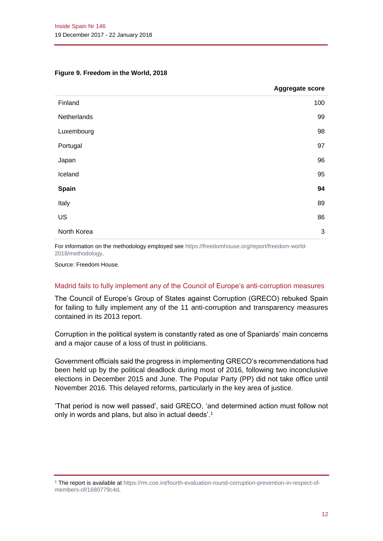#### **Figure 9. Freedom in the World, 2018**

|             | <b>Aggregate score</b> |
|-------------|------------------------|
| Finland     | 100                    |
| Netherlands | 99                     |
| Luxembourg  | 98                     |
| Portugal    | 97                     |
| Japan       | 96                     |
| Iceland     | 95                     |
| Spain       | 94                     |
| Italy       | 89                     |
| US          | 86                     |
| North Korea | 3                      |

For information on the methodology employed see [https://freedomhouse.org/report/freedom-world-](https://freedomhouse.org/report/freedom-world-2018/methodology)[2018/methodology.](https://freedomhouse.org/report/freedom-world-2018/methodology)

Source: Freedom House.

#### Madrid fails to fully implement any of the Council of Europe's anti-corruption measures

The Council of Europe's Group of States against Corruption (GRECO) rebuked Spain for failing to fully implement any of the 11 anti-corruption and transparency measures contained in its 2013 report.

Corruption in the political system is constantly rated as one of Spaniards' main concerns and a major cause of a loss of trust in politicians.

Government officials said the progress in implementing GRECO's recommendations had been held up by the political deadlock during most of 2016, following two inconclusive elections in December 2015 and June. The Popular Party (PP) did not take office until November 2016. This delayed reforms, particularly in the key area of justice.

'That period is now well passed', said GRECO, 'and determined action must follow not only in words and plans, but also in actual deeds'.<sup>1</sup>

<sup>1</sup> The report is available at [https://rm.coe.int/fourth-evaluation-round-corruption-prevention-in-respect-of](https://rm.coe.int/fourth-evaluation-round-corruption-prevention-in-respect-of-members-of/1680779c4d)[members-of/1680779c4d.](https://rm.coe.int/fourth-evaluation-round-corruption-prevention-in-respect-of-members-of/1680779c4d)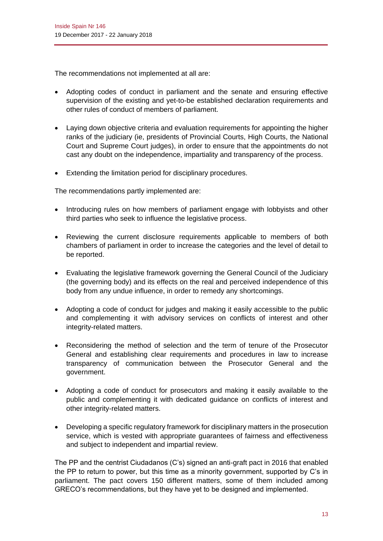The recommendations not implemented at all are:

- Adopting codes of conduct in parliament and the senate and ensuring effective supervision of the existing and yet-to-be established declaration requirements and other rules of conduct of members of parliament.
- Laying down objective criteria and evaluation requirements for appointing the higher ranks of the judiciary (ie, presidents of Provincial Courts, High Courts, the National Court and Supreme Court judges), in order to ensure that the appointments do not cast any doubt on the independence, impartiality and transparency of the process.
- Extending the limitation period for disciplinary procedures.

The recommendations partly implemented are:

- Introducing rules on how members of parliament engage with lobbyists and other third parties who seek to influence the legislative process.
- Reviewing the current disclosure requirements applicable to members of both chambers of parliament in order to increase the categories and the level of detail to be reported.
- Evaluating the legislative framework governing the General Council of the Judiciary (the governing body) and its effects on the real and perceived independence of this body from any undue influence, in order to remedy any shortcomings.
- Adopting a code of conduct for judges and making it easily accessible to the public and complementing it with advisory services on conflicts of interest and other integrity-related matters.
- Reconsidering the method of selection and the term of tenure of the Prosecutor General and establishing clear requirements and procedures in law to increase transparency of communication between the Prosecutor General and the government.
- Adopting a code of conduct for prosecutors and making it easily available to the public and complementing it with dedicated guidance on conflicts of interest and other integrity-related matters.
- Developing a specific regulatory framework for disciplinary matters in the prosecution service, which is vested with appropriate guarantees of fairness and effectiveness and subject to independent and impartial review.

The PP and the centrist Ciudadanos (C's) signed an anti-graft pact in 2016 that enabled the PP to return to power, but this time as a minority government, supported by C's in parliament. The pact covers 150 different matters, some of them included among GRECO's recommendations, but they have yet to be designed and implemented.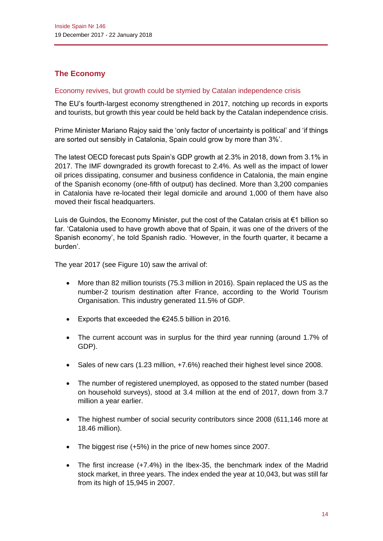# **The Economy**

#### Economy revives, but growth could be stymied by Catalan independence crisis

The EU's fourth-largest economy strengthened in 2017, notching up records in exports and tourists, but growth this year could be held back by the Catalan independence crisis.

Prime Minister Mariano Rajoy said the 'only factor of uncertainty is political' and 'if things are sorted out sensibly in Catalonia, Spain could grow by more than 3%'.

The latest OECD forecast puts Spain's GDP growth at 2.3% in 2018, down from 3.1% in 2017. The IMF downgraded its growth forecast to 2.4%. As well as the impact of lower oil prices dissipating, consumer and business confidence in Catalonia, the main engine of the Spanish economy (one-fifth of output) has declined. More than 3,200 companies in Catalonia have re-located their legal domicile and around 1,000 of them have also moved their fiscal headquarters.

Luis de Guindos, the Economy Minister, put the cost of the Catalan crisis at €1 billion so far. 'Catalonia used to have growth above that of Spain, it was one of the drivers of the Spanish economy', he told Spanish radio. 'However, in the fourth quarter, it became a burden'.

The year 2017 (see Figure 10) saw the arrival of:

- More than 82 million tourists (75.3 million in 2016). Spain replaced the US as the number-2 tourism destination after France, according to the World Tourism Organisation. This industry generated 11.5% of GDP.
- Exports that exceeded the €245.5 billion in 2016.
- The current account was in surplus for the third year running (around 1.7% of GDP).
- Sales of new cars (1.23 million, +7.6%) reached their highest level since 2008.
- The number of registered unemployed, as opposed to the stated number (based on household surveys), stood at 3.4 million at the end of 2017, down from 3.7 million a year earlier.
- The highest number of social security contributors since 2008 (611,146 more at 18.46 million).
- The biggest rise (+5%) in the price of new homes since 2007.
- The first increase (+7.4%) in the Ibex-35, the benchmark index of the Madrid stock market, in three years. The index ended the year at 10,043, but was still far from its high of 15,945 in 2007.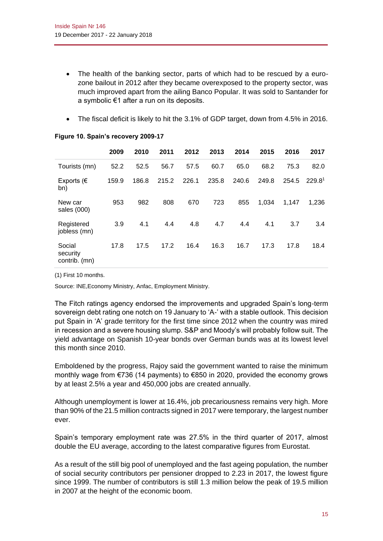- The health of the banking sector, parts of which had to be rescued by a eurozone bailout in 2012 after they became overexposed to the property sector, was much improved apart from the ailing Banco Popular. It was sold to Santander for a symbolic €1 after a run on its deposits.
- The fiscal deficit is likely to hit the 3.1% of GDP target, down from 4.5% in 2016.

|                                     | 2009  | 2010  | 2011  | 2012  | 2013  | 2014  | 2015  | 2016  | 2017               |
|-------------------------------------|-------|-------|-------|-------|-------|-------|-------|-------|--------------------|
| Tourists (mn)                       | 52.2  | 52.5  | 56.7  | 57.5  | 60.7  | 65.0  | 68.2  | 75.3  | 82.0               |
| Exports ( $\in$<br>bn)              | 159.9 | 186.8 | 215.2 | 226.1 | 235.8 | 240.6 | 249.8 | 254.5 | 229.8 <sup>1</sup> |
| New car<br>sales (000)              | 953   | 982   | 808   | 670   | 723   | 855   | 1,034 | 1,147 | 1.236              |
| Registered<br>jobless (mn)          | 3.9   | 4.1   | 4.4   | 4.8   | 4.7   | 4.4   | 4.1   | 3.7   | 3.4                |
| Social<br>security<br>contrib. (mn) | 17.8  | 17.5  | 17.2  | 16.4  | 16.3  | 16.7  | 17.3  | 17.8  | 18.4               |

#### **Figure 10. Spain's recovery 2009-17**

(1) First 10 months.

Source: INE,Economy Ministry, Anfac, Employment Ministry.

The Fitch ratings agency endorsed the improvements and upgraded Spain's long-term sovereign debt rating one notch on 19 January to 'A-' with a stable outlook. This decision put Spain in 'A' grade territory for the first time since 2012 when the country was mired in recession and a severe housing slump. S&P and Moody's will probably follow suit. The yield advantage on Spanish 10-year bonds over German bunds was at its lowest level this month since 2010.

Emboldened by the progress, Rajoy said the government wanted to raise the minimum monthly wage from €736 (14 payments) to €850 in 2020, provided the economy grows by at least 2.5% a year and 450,000 jobs are created annually.

Although unemployment is lower at 16.4%, job precariousness remains very high. More than 90% of the 21.5 million contracts signed in 2017 were temporary, the largest number ever.

Spain's temporary employment rate was 27.5% in the third quarter of 2017, almost double the EU average, according to the latest comparative figures from Eurostat.

As a result of the still big pool of unemployed and the fast ageing population, the number of social security contributors per pensioner dropped to 2.23 in 2017, the lowest figure since 1999. The number of contributors is still 1.3 million below the peak of 19.5 million in 2007 at the height of the economic boom.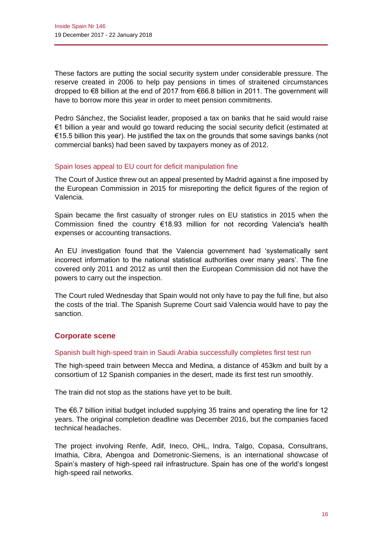These factors are putting the social security system under considerable pressure. The reserve created in 2006 to help pay pensions in times of straitened circumstances dropped to €8 billion at the end of 2017 from €66.8 billion in 2011. The government will have to borrow more this year in order to meet pension commitments.

Pedro Sánchez, the Socialist leader, proposed a tax on banks that he said would raise €1 billion a year and would go toward reducing the social security deficit (estimated at €15.5 billion this year). He justified the tax on the grounds that some savings banks (not commercial banks) had been saved by taxpayers money as of 2012.

#### Spain loses appeal to EU court for deficit manipulation fine

The Court of Justice threw out an appeal presented by Madrid against a fine imposed by the European Commission in 2015 for misreporting the deficit figures of the region of Valencia.

Spain became the first casualty of stronger rules on EU statistics in 2015 when the Commission fined the country €18.93 million for not recording Valencia's health expenses or accounting transactions.

An EU investigation found that the Valencia government had 'systematically sent incorrect information to the national statistical authorities over many years'. The fine covered only 2011 and 2012 as until then the European Commission did not have the powers to carry out the inspection.

The Court ruled Wednesday that Spain would not only have to pay the full fine, but also the costs of the trial. The Spanish Supreme Court said Valencia would have to pay the sanction.

## **Corporate scene**

#### Spanish built high-speed train in Saudi Arabia successfully completes first test run

The high-speed train between Mecca and Medina, a distance of 453km and built by a consortium of 12 Spanish companies in the desert, made its first test run smoothly.

The train did not stop as the stations have yet to be built.

The €6.7 billion initial budget included supplying 35 trains and operating the line for 12 years. The original completion deadline was December 2016, but the companies faced technical headaches.

The project involving Renfe, Adif, Ineco, OHL, Indra, Talgo, Copasa, Consultrans, Imathia, Cibra, Abengoa and Dometronic-Siemens, is an international showcase of Spain's mastery of high-speed rail infrastructure. Spain has one of the world's longest high-speed rail networks.